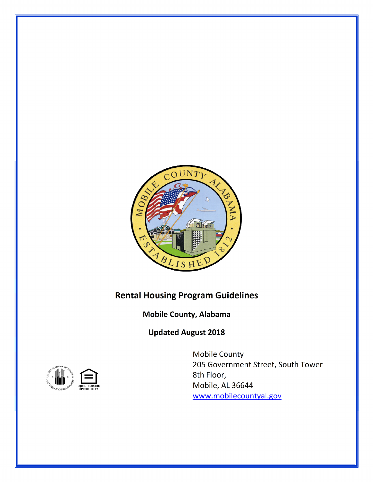

# **Rental Housing Program Guidelines**

**Mobile County, Alabama**

**Updated August 2018**



Mobile County 205 Government Street, South Tower 8th Floor, Mobile, AL 36644 www.mobilecountyal.gov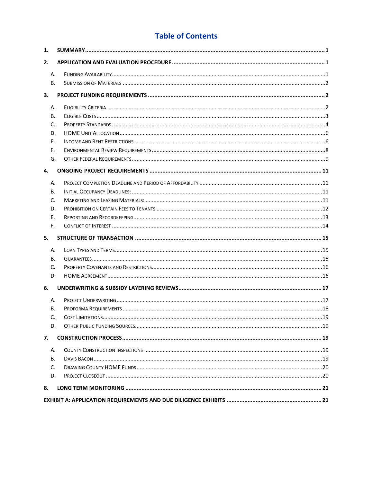# **Table of Contents**

| 1. |    |  |
|----|----|--|
| 2. |    |  |
|    | Α. |  |
|    | В. |  |
| 3. |    |  |
|    | А. |  |
|    | В. |  |
|    | C. |  |
|    | D. |  |
| Ε. |    |  |
|    | F. |  |
|    | G. |  |
| 4. |    |  |
|    | Α. |  |
|    | В. |  |
|    | C. |  |
|    | D. |  |
|    | E. |  |
| F. |    |  |
| 5. |    |  |
|    | А. |  |
|    | В. |  |
|    | C. |  |
|    | D. |  |
| 6. |    |  |
|    | А. |  |
|    | В. |  |
|    | C. |  |
|    | D. |  |
| 7. |    |  |
|    | А. |  |
|    | В. |  |
|    | C. |  |
|    | D. |  |
| 8. |    |  |
|    |    |  |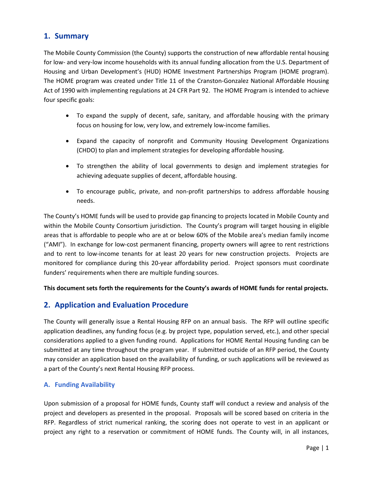# **1. Summary**

The Mobile County Commission (the County) supports the construction of new affordable rental housing for low- and very-low income households with its annual funding allocation from the U.S. Department of Housing and Urban Development's (HUD) HOME Investment Partnerships Program (HOME program). The HOME program was created under Title 11 of the Cranston-Gonzalez National Affordable Housing Act of 1990 with implementing regulations at 24 CFR Part 92. The HOME Program is intended to achieve four specific goals:

- To expand the supply of decent, safe, sanitary, and affordable housing with the primary focus on housing for low, very low, and extremely low-income families.
- Expand the capacity of nonprofit and Community Housing Development Organizations (CHDO) to plan and implement strategies for developing affordable housing.
- To strengthen the ability of local governments to design and implement strategies for achieving adequate supplies of decent, affordable housing.
- To encourage public, private, and non-profit partnerships to address affordable housing needs.

The County's HOME funds will be used to provide gap financing to projects located in Mobile County and within the Mobile County Consortium jurisdiction. The County's program will target housing in eligible areas that is affordable to people who are at or below 60% of the Mobile area's median family income ("AMI"). In exchange for low-cost permanent financing, property owners will agree to rent restrictions and to rent to low-income tenants for at least 20 years for new construction projects. Projects are monitored for compliance during this 20-year affordability period. Project sponsors must coordinate funders' requirements when there are multiple funding sources.

### **This document sets forth the requirements for the County's awards of HOME funds for rental projects.**

# **2. Application and Evaluation Procedure**

The County will generally issue a Rental Housing RFP on an annual basis. The RFP will outline specific application deadlines, any funding focus (e.g. by project type, population served, etc.), and other special considerations applied to a given funding round. Applications for HOME Rental Housing funding can be submitted at any time throughout the program year. If submitted outside of an RFP period, the County may consider an application based on the availability of funding, or such applications will be reviewed as a part of the County's next Rental Housing RFP process.

### **A. Funding Availability**

Upon submission of a proposal for HOME funds, County staff will conduct a review and analysis of the project and developers as presented in the proposal. Proposals will be scored based on criteria in the RFP. Regardless of strict numerical ranking, the scoring does not operate to vest in an applicant or project any right to a reservation or commitment of HOME funds. The County will, in all instances,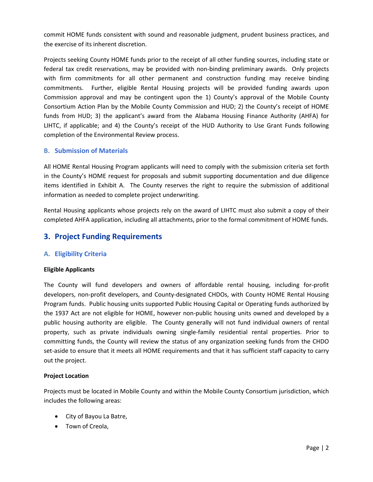commit HOME funds consistent with sound and reasonable judgment, prudent business practices, and the exercise of its inherent discretion.

Projects seeking County HOME funds prior to the receipt of all other funding sources, including state or federal tax credit reservations, may be provided with non-binding preliminary awards. Only projects with firm commitments for all other permanent and construction funding may receive binding commitments. Further, eligible Rental Housing projects will be provided funding awards upon Commission approval and may be contingent upon the 1) County's approval of the Mobile County Consortium Action Plan by the Mobile County Commission and HUD; 2) the County's receipt of HOME funds from HUD; 3) the applicant's award from the Alabama Housing Finance Authority (AHFA) for LIHTC, if applicable; and 4) the County's receipt of the HUD Authority to Use Grant Funds following completion of the Environmental Review process.

### **B. Submission of Materials**

All HOME Rental Housing Program applicants will need to comply with the submission criteria set forth in the County's HOME request for proposals and submit supporting documentation and due diligence items identified in Exhibit A. The County reserves the right to require the submission of additional information as needed to complete project underwriting.

Rental Housing applicants whose projects rely on the award of LIHTC must also submit a copy of their completed AHFA application, including all attachments, prior to the formal commitment of HOME funds.

## **3. Project Funding Requirements**

### **A. Eligibility Criteria**

#### **Eligible Applicants**

The County will fund developers and owners of affordable rental housing, including for-profit developers, non-profit developers, and County-designated CHDOs, with County HOME Rental Housing Program funds. Public housing units supported Public Housing Capital or Operating funds authorized by the 1937 Act are not eligible for HOME, however non-public housing units owned and developed by a public housing authority are eligible. The County generally will not fund individual owners of rental property, such as private individuals owning single-family residential rental properties. Prior to committing funds, the County will review the status of any organization seeking funds from the CHDO set-aside to ensure that it meets all HOME requirements and that it has sufficient staff capacity to carry out the project.

#### **Project Location**

Projects must be located in Mobile County and within the Mobile County Consortium jurisdiction, which includes the following areas:

- City of Bayou La Batre,
- Town of Creola,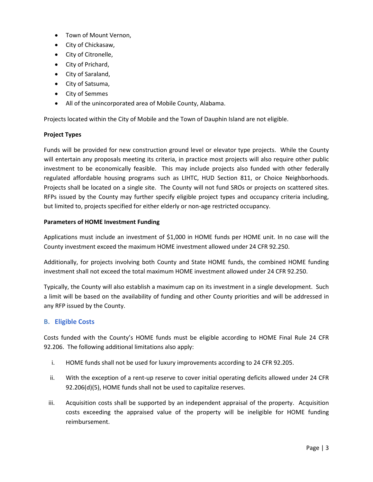- Town of Mount Vernon,
- City of Chickasaw,
- City of Citronelle,
- City of Prichard,
- City of Saraland,
- City of Satsuma,
- City of Semmes
- All of the unincorporated area of Mobile County, Alabama.

Projects located within the City of Mobile and the Town of Dauphin Island are not eligible.

#### **Project Types**

Funds will be provided for new construction ground level or elevator type projects. While the County will entertain any proposals meeting its criteria, in practice most projects will also require other public investment to be economically feasible. This may include projects also funded with other federally regulated affordable housing programs such as LIHTC, HUD Section 811, or Choice Neighborhoods. Projects shall be located on a single site. The County will not fund SROs or projects on scattered sites. RFPs issued by the County may further specify eligible project types and occupancy criteria including, but limited to, projects specified for either elderly or non-age restricted occupancy.

#### **Parameters of HOME Investment Funding**

Applications must include an investment of \$1,000 in HOME funds per HOME unit. In no case will the County investment exceed the maximum HOME investment allowed under 24 CFR 92.250.

Additionally, for projects involving both County and State HOME funds, the combined HOME funding investment shall not exceed the total maximum HOME investment allowed under 24 CFR 92.250.

Typically, the County will also establish a maximum cap on its investment in a single development. Such a limit will be based on the availability of funding and other County priorities and will be addressed in any RFP issued by the County.

#### **B. Eligible Costs**

Costs funded with the County's HOME funds must be eligible according to HOME Final Rule 24 CFR 92.206. The following additional limitations also apply:

- i. HOME funds shall not be used for luxury improvements according to 24 CFR 92.205.
- ii. With the exception of a rent-up reserve to cover initial operating deficits allowed under 24 CFR 92.206(d)(5), HOME funds shall not be used to capitalize reserves.
- iii. Acquisition costs shall be supported by an independent appraisal of the property. Acquisition costs exceeding the appraised value of the property will be ineligible for HOME funding reimbursement.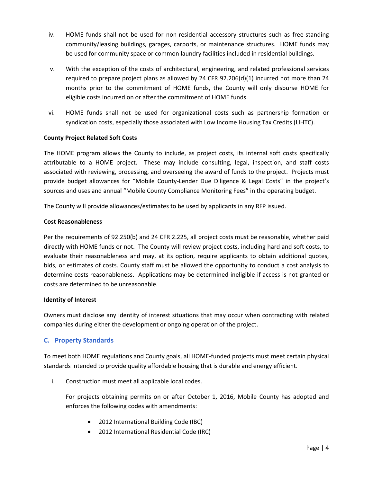- iv. HOME funds shall not be used for non-residential accessory structures such as free-standing community/leasing buildings, garages, carports, or maintenance structures. HOME funds may be used for community space or common laundry facilities included in residential buildings.
- v. With the exception of the costs of architectural, engineering, and related professional services required to prepare project plans as allowed by 24 CFR  $92.206(d)(1)$  incurred not more than 24 months prior to the commitment of HOME funds, the County will only disburse HOME for eligible costs incurred on or after the commitment of HOME funds.
- vi. HOME funds shall not be used for organizational costs such as partnership formation or syndication costs, especially those associated with Low Income Housing Tax Credits (LIHTC).

### **County Project Related Soft Costs**

The HOME program allows the County to include, as project costs, its internal soft costs specifically attributable to a HOME project. These may include consulting, legal, inspection, and staff costs associated with reviewing, processing, and overseeing the award of funds to the project. Projects must provide budget allowances for "Mobile County-Lender Due Diligence & Legal Costs" in the project's sources and uses and annual "Mobile County Compliance Monitoring Fees" in the operating budget.

The County will provide allowances/estimates to be used by applicants in any RFP issued.

#### **Cost Reasonableness**

Per the requirements of 92.250(b) and 24 CFR 2.225, all project costs must be reasonable, whether paid directly with HOME funds or not. The County will review project costs, including hard and soft costs, to evaluate their reasonableness and may, at its option, require applicants to obtain additional quotes, bids, or estimates of costs. County staff must be allowed the opportunity to conduct a cost analysis to determine costs reasonableness. Applications may be determined ineligible if access is not granted or costs are determined to be unreasonable.

#### **Identity of Interest**

Owners must disclose any identity of interest situations that may occur when contracting with related companies during either the development or ongoing operation of the project.

### **C. Property Standards**

To meet both HOME regulations and County goals, all HOME-funded projects must meet certain physical standards intended to provide quality affordable housing that is durable and energy efficient.

i. Construction must meet all applicable local codes.

For projects obtaining permits on or after October 1, 2016, Mobile County has adopted and enforces the following codes with amendments:

- 2012 International Building Code (IBC)
- 2012 International Residential Code (IRC)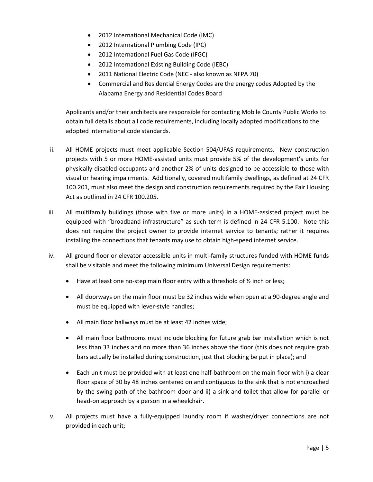- 2012 International Mechanical Code (IMC)
- 2012 International Plumbing Code (IPC)
- 2012 International Fuel Gas Code (IFGC)
- 2012 International Existing Building Code (IEBC)
- 2011 National Electric Code (NEC also known as NFPA 70)
- Commercial and Residential Energy Codes are the energy codes Adopted by the Alabama Energy and Residential Codes Board

Applicants and/or their architects are responsible for contacting Mobile County Public Works to obtain full details about all code requirements, including locally adopted modifications to the adopted international code standards.

- ii. All HOME projects must meet applicable Section 504/UFAS requirements. New construction projects with 5 or more HOME-assisted units must provide 5% of the development's units for physically disabled occupants and another 2% of units designed to be accessible to those with visual or hearing impairments. Additionally, covered multifamily dwellings, as defined at 24 CFR 100.201, must also meet the design and construction requirements required by the Fair Housing Act as outlined in 24 CFR 100.205.
- iii. All multifamily buildings (those with five or more units) in a HOME-assisted project must be equipped with "broadband infrastructure" as such term is defined in 24 CFR 5.100. Note this does not require the project owner to provide internet service to tenants; rather it requires installing the connections that tenants may use to obtain high-speed internet service.
- iv. All ground floor or elevator accessible units in multi-family structures funded with HOME funds shall be visitable and meet the following minimum Universal Design requirements:
	- Have at least one no-step main floor entry with a threshold of 1/2 inch or less;
	- All doorways on the main floor must be 32 inches wide when open at a 90-degree angle and must be equipped with lever-style handles;
	- All main floor hallways must be at least 42 inches wide;
	- All main floor bathrooms must include blocking for future grab bar installation which is not less than 33 inches and no more than 36 inches above the floor (this does not require grab bars actually be installed during construction, just that blocking be put in place); and
	- Each unit must be provided with at least one half-bathroom on the main floor with i) a clear floor space of 30 by 48 inches centered on and contiguous to the sink that is not encroached by the swing path of the bathroom door and ii) a sink and toilet that allow for parallel or head-on approach by a person in a wheelchair.
- v. All projects must have a fully-equipped laundry room if washer/dryer connections are not provided in each unit;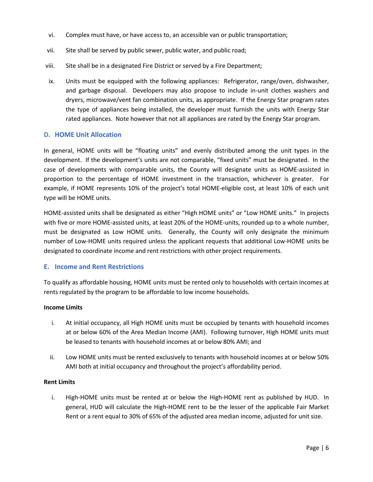- vi. Complex must have, or have access to, an accessible van or public transportation;
- vii. Site shall be served by public sewer, public water, and public road;
- viii. Site shall be in a designated Fire District or served by a Fire Department;
- ix. Units must be equipped with the following appliances: Refrigerator, range/oven, dishwasher, and garbage disposal. Developers may also propose to include in-unit clothes washers and dryers, microwave/vent fan combination units, as appropriate. If the Energy Star program rates the type of appliances being installed, the developer must furnish the units with Energy Star rated appliances. Note however that not all appliances are rated by the Energy Star program.

#### **D. HOME Unit Allocation**

In general, HOME units will be "floating units" and evenly distributed among the unit types in the development. If the development's units are not comparable, "fixed units" must be designated. In the case of developments with comparable units, the County will designate units as HOME-assisted in proportion to the percentage of HOME investment in the transaction, whichever is greater. For example, if HOME represents 10% of the project's total HOME-eligible cost, at least 10% of each unit type will be HOME units.

HOME-assisted units shall be designated as either "High HOME units" or "Low HOME units." In projects with five or more HOME-assisted units, at least 20% of the HOME-units, rounded up to a whole number, must be designated as Low HOME units. Generally, the County will only designate the minimum number of Low-HOME units required unless the applicant requests that additional Low-HOME units be designated to coordinate income and rent restrictions with other project requirements.

#### **E. Income and Rent Restrictions**

To qualify as affordable housing, HOME units must be rented only to households with certain incomes at rents regulated by the program to be affordable to low income households.

#### **Income Limits**

- i. At initial occupancy, all High HOME units must be occupied by tenants with household incomes at or below 60% of the Area Median Income (AMI). Following turnover, High HOME units must be leased to tenants with household incomes at or below 80% AMI; and
- ii. Low HOME units must be rented exclusively to tenants with household incomes at or below 50% AMI both at initial occupancy and throughout the project's affordability period.

#### **Rent Limits**

i. High-HOME units must be rented at or below the High-HOME rent as published by HUD. In general, HUD will calculate the High-HOME rent to be the lesser of the applicable Fair Market Rent or a rent equal to 30% of 65% of the adjusted area median income, adjusted for unit size.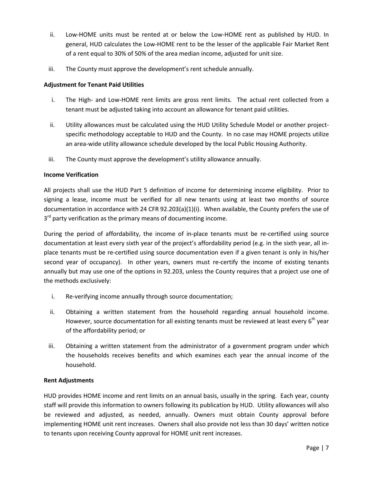- ii. Low-HOME units must be rented at or below the Low-HOME rent as published by HUD. In general, HUD calculates the Low-HOME rent to be the lesser of the applicable Fair Market Rent of a rent equal to 30% of 50% of the area median income, adjusted for unit size.
- iii. The County must approve the development's rent schedule annually.

### **Adjustment for Tenant Paid Utilities**

- i. The High- and Low-HOME rent limits are gross rent limits. The actual rent collected from a tenant must be adjusted taking into account an allowance for tenant paid utilities.
- ii. Utility allowances must be calculated using the HUD Utility Schedule Model or another projectspecific methodology acceptable to HUD and the County. In no case may HOME projects utilize an area-wide utility allowance schedule developed by the local Public Housing Authority.
- iii. The County must approve the development's utility allowance annually.

#### **Income Verification**

All projects shall use the HUD Part 5 definition of income for determining income eligibility. Prior to signing a lease, income must be verified for all new tenants using at least two months of source documentation in accordance with 24 CFR 92.203(a)(1)(i). When available, the County prefers the use of 3<sup>rd</sup> party verification as the primary means of documenting income.

During the period of affordability, the income of in-place tenants must be re-certified using source documentation at least every sixth year of the project's affordability period (e.g. in the sixth year, all inplace tenants must be re-certified using source documentation even if a given tenant is only in his/her second year of occupancy). In other years, owners must re-certify the income of existing tenants annually but may use one of the options in 92.203, unless the County requires that a project use one of the methods exclusively:

- i. Re-verifying income annually through source documentation;
- ii. Obtaining a written statement from the household regarding annual household income. However, source documentation for all existing tenants must be reviewed at least every  $6<sup>th</sup>$  year of the affordability period; or
- iii. Obtaining a written statement from the administrator of a government program under which the households receives benefits and which examines each year the annual income of the household.

#### **Rent Adjustments**

HUD provides HOME income and rent limits on an annual basis, usually in the spring. Each year, county staff will provide this information to owners following its publication by HUD. Utility allowances will also be reviewed and adjusted, as needed, annually. Owners must obtain County approval before implementing HOME unit rent increases. Owners shall also provide not less than 30 days' written notice to tenants upon receiving County approval for HOME unit rent increases.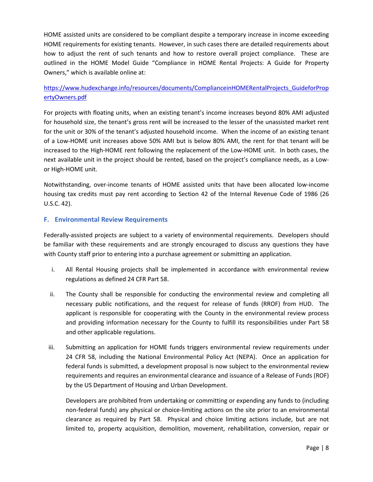HOME assisted units are considered to be compliant despite a temporary increase in income exceeding HOME requirements for existing tenants. However, in such cases there are detailed requirements about how to adjust the rent of such tenants and how to restore overall project compliance. These are outlined in the HOME Model Guide "Compliance in HOME Rental Projects: A Guide for Property Owners," which is available online at:

### https://www.hudexchange.info/resources/documents/ComplianceinHOMERentalProjects\_GuideforProp ertyOwners.pdf

For projects with floating units, when an existing tenant's income increases beyond 80% AMI adjusted for household size, the tenant's gross rent will be increased to the lesser of the unassisted market rent for the unit or 30% of the tenant's adjusted household income. When the income of an existing tenant of a Low-HOME unit increases above 50% AMI but is below 80% AMI, the rent for that tenant will be increased to the High-HOME rent following the replacement of the Low-HOME unit. In both cases, the next available unit in the project should be rented, based on the project's compliance needs, as a Lowor High-HOME unit.

Notwithstanding, over-income tenants of HOME assisted units that have been allocated low-income housing tax credits must pay rent according to Section 42 of the Internal Revenue Code of 1986 (26 U.S.C. 42).

### **F. Environmental Review Requirements**

Federally-assisted projects are subject to a variety of environmental requirements. Developers should be familiar with these requirements and are strongly encouraged to discuss any questions they have with County staff prior to entering into a purchase agreement or submitting an application.

- i. All Rental Housing projects shall be implemented in accordance with environmental review regulations as defined 24 CFR Part 58.
- ii. The County shall be responsible for conducting the environmental review and completing all necessary public notifications, and the request for release of funds (RROF) from HUD. The applicant is responsible for cooperating with the County in the environmental review process and providing information necessary for the County to fulfill its responsibilities under Part 58 and other applicable regulations.
- iii. Submitting an application for HOME funds triggers environmental review requirements under 24 CFR 58, including the National Environmental Policy Act (NEPA). Once an application for federal funds is submitted, a development proposal is now subject to the environmental review requirements and requires an environmental clearance and issuance of a Release of Funds (ROF) by the US Department of Housing and Urban Development.

Developers are prohibited from undertaking or committing or expending any funds to (including non-federal funds) any physical or choice-limiting actions on the site prior to an environmental clearance as required by Part 58. Physical and choice limiting actions include, but are not limited to, property acquisition, demolition, movement, rehabilitation, conversion, repair or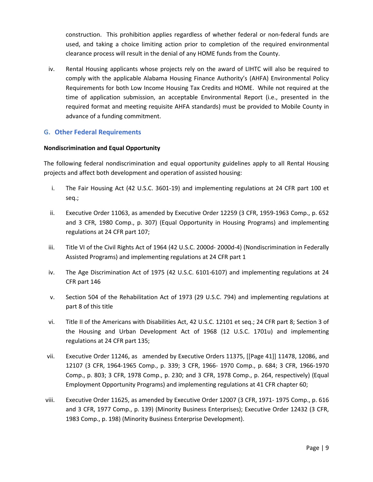construction. This prohibition applies regardless of whether federal or non-federal funds are used, and taking a choice limiting action prior to completion of the required environmental clearance process will result in the denial of any HOME funds from the County.

iv. Rental Housing applicants whose projects rely on the award of LIHTC will also be required to comply with the applicable Alabama Housing Finance Authority's (AHFA) Environmental Policy Requirements for both Low Income Housing Tax Credits and HOME. While not required at the time of application submission, an acceptable Environmental Report (i.e., presented in the required format and meeting requisite AHFA standards) must be provided to Mobile County in advance of a funding commitment.

### **G. Other Federal Requirements**

#### **Nondiscrimination and Equal Opportunity**

The following federal nondiscrimination and equal opportunity guidelines apply to all Rental Housing projects and affect both development and operation of assisted housing:

- i. The Fair Housing Act (42 U.S.C. 3601-19) and implementing regulations at 24 CFR part 100 et seq.;
- ii. Executive Order 11063, as amended by Executive Order 12259 (3 CFR, 1959-1963 Comp., p. 652 and 3 CFR, 1980 Comp., p. 307) (Equal Opportunity in Housing Programs) and implementing regulations at 24 CFR part 107;
- iii. Title VI of the Civil Rights Act of 1964 (42 U.S.C. 2000d- 2000d-4) (Nondiscrimination in Federally Assisted Programs) and implementing regulations at 24 CFR part 1
- iv. The Age Discrimination Act of 1975 (42 U.S.C. 6101-6107) and implementing regulations at 24 CFR part 146
- v. Section 504 of the Rehabilitation Act of 1973 (29 U.S.C. 794) and implementing regulations at part 8 of this title
- vi. Title II of the Americans with Disabilities Act, 42 U.S.C. 12101 et seq.; 24 CFR part 8; Section 3 of the Housing and Urban Development Act of 1968 (12 U.S.C. 1701u) and implementing regulations at 24 CFR part 135;
- vii. Executive Order 11246, as amended by Executive Orders 11375, [[Page 41]] 11478, 12086, and 12107 (3 CFR, 1964-1965 Comp., p. 339; 3 CFR, 1966- 1970 Comp., p. 684; 3 CFR, 1966-1970 Comp., p. 803; 3 CFR, 1978 Comp., p. 230; and 3 CFR, 1978 Comp., p. 264, respectively) (Equal Employment Opportunity Programs) and implementing regulations at 41 CFR chapter 60;
- viii. Executive Order 11625, as amended by Executive Order 12007 (3 CFR, 1971- 1975 Comp., p. 616 and 3 CFR, 1977 Comp., p. 139) (Minority Business Enterprises); Executive Order 12432 (3 CFR, 1983 Comp., p. 198) (Minority Business Enterprise Development).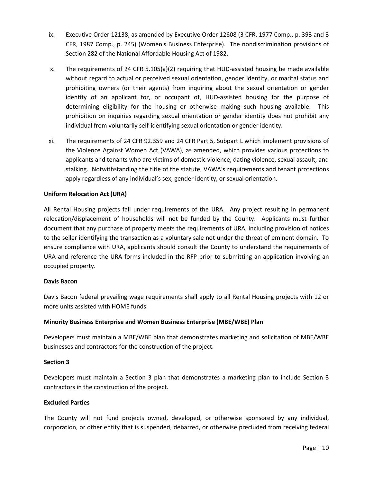- ix. Executive Order 12138, as amended by Executive Order 12608 (3 CFR, 1977 Comp., p. 393 and 3 CFR, 1987 Comp., p. 245) (Women's Business Enterprise). The nondiscrimination provisions of Section 282 of the National Affordable Housing Act of 1982.
- x. The requirements of 24 CFR 5.105(a)(2) requiring that HUD-assisted housing be made available without regard to actual or perceived sexual orientation, gender identity, or marital status and prohibiting owners (or their agents) from inquiring about the sexual orientation or gender identity of an applicant for, or occupant of, HUD-assisted housing for the purpose of determining eligibility for the housing or otherwise making such housing available. This prohibition on inquiries regarding sexual orientation or gender identity does not prohibit any individual from voluntarily self-identifying sexual orientation or gender identity.
- xi. The requirements of 24 CFR 92.359 and 24 CFR Part 5, Subpart L which implement provisions of the Violence Against Women Act (VAWA), as amended, which provides various protections to applicants and tenants who are victims of domestic violence, dating violence, sexual assault, and stalking. Notwithstanding the title of the statute, VAWA's requirements and tenant protections apply regardless of any individual's sex, gender identity, or sexual orientation.

#### **Uniform Relocation Act (URA)**

All Rental Housing projects fall under requirements of the URA. Any project resulting in permanent relocation/displacement of households will not be funded by the County. Applicants must further document that any purchase of property meets the requirements of URA, including provision of notices to the seller identifying the transaction as a voluntary sale not under the threat of eminent domain. To ensure compliance with URA, applicants should consult the County to understand the requirements of URA and reference the URA forms included in the RFP prior to submitting an application involving an occupied property.

#### **Davis Bacon**

Davis Bacon federal prevailing wage requirements shall apply to all Rental Housing projects with 12 or more units assisted with HOME funds.

#### **Minority Business Enterprise and Women Business Enterprise (MBE/WBE) Plan**

Developers must maintain a MBE/WBE plan that demonstrates marketing and solicitation of MBE/WBE businesses and contractors for the construction of the project.

#### **Section 3**

Developers must maintain a Section 3 plan that demonstrates a marketing plan to include Section 3 contractors in the construction of the project.

#### **Excluded Parties**

The County will not fund projects owned, developed, or otherwise sponsored by any individual, corporation, or other entity that is suspended, debarred, or otherwise precluded from receiving federal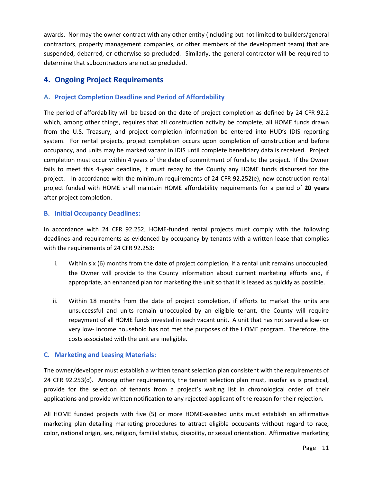awards. Nor may the owner contract with any other entity (including but not limited to builders/general contractors, property management companies, or other members of the development team) that are suspended, debarred, or otherwise so precluded. Similarly, the general contractor will be required to determine that subcontractors are not so precluded.

# **4. Ongoing Project Requirements**

### **A. Project Completion Deadline and Period of Affordability**

The period of affordability will be based on the date of project completion as defined by 24 CFR 92.2 which, among other things, requires that all construction activity be complete, all HOME funds drawn from the U.S. Treasury, and project completion information be entered into HUD's IDIS reporting system. For rental projects, project completion occurs upon completion of construction and before occupancy, and units may be marked vacant in IDIS until complete beneficiary data is received. Project completion must occur within 4 years of the date of commitment of funds to the project. If the Owner fails to meet this 4-year deadline, it must repay to the County any HOME funds disbursed for the project. In accordance with the minimum requirements of 24 CFR 92.252(e), new construction rental project funded with HOME shall maintain HOME affordability requirements for a period of **20 years** after project completion.

### **B. Initial Occupancy Deadlines:**

In accordance with 24 CFR 92.252, HOME-funded rental projects must comply with the following deadlines and requirements as evidenced by occupancy by tenants with a written lease that complies with the requirements of 24 CFR 92.253:

- i. Within six (6) months from the date of project completion, if a rental unit remains unoccupied, the Owner will provide to the County information about current marketing efforts and, if appropriate, an enhanced plan for marketing the unit so that it is leased as quickly as possible.
- ii. Within 18 months from the date of project completion, if efforts to market the units are unsuccessful and units remain unoccupied by an eligible tenant, the County will require repayment of all HOME funds invested in each vacant unit. A unit that has not served a low- or very low- income household has not met the purposes of the HOME program. Therefore, the costs associated with the unit are ineligible.

### **C. Marketing and Leasing Materials:**

The owner/developer must establish a written tenant selection plan consistent with the requirements of 24 CFR 92.253(d). Among other requirements, the tenant selection plan must, insofar as is practical, provide for the selection of tenants from a project's waiting list in chronological order of their applications and provide written notification to any rejected applicant of the reason for their rejection.

All HOME funded projects with five (5) or more HOME-assisted units must establish an affirmative marketing plan detailing marketing procedures to attract eligible occupants without regard to race, color, national origin, sex, religion, familial status, disability, or sexual orientation. Affirmative marketing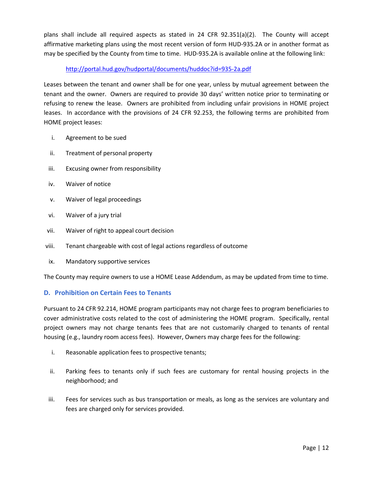plans shall include all required aspects as stated in 24 CFR 92.351(a)(2). The County will accept affirmative marketing plans using the most recent version of form HUD-935.2A or in another format as may be specified by the County from time to time. HUD-935.2A is available online at the following link:

### http://portal.hud.gov/hudportal/documents/huddoc?id=935-2a.pdf

Leases between the tenant and owner shall be for one year, unless by mutual agreement between the tenant and the owner. Owners are required to provide 30 days' written notice prior to terminating or refusing to renew the lease. Owners are prohibited from including unfair provisions in HOME project leases. In accordance with the provisions of 24 CFR 92.253, the following terms are prohibited from HOME project leases:

- i. Agreement to be sued
- ii. Treatment of personal property
- iii. Excusing owner from responsibility
- iv. Waiver of notice
- v. Waiver of legal proceedings
- vi. Waiver of a jury trial
- vii. Waiver of right to appeal court decision
- viii. Tenant chargeable with cost of legal actions regardless of outcome
- ix. Mandatory supportive services

The County may require owners to use a HOME Lease Addendum, as may be updated from time to time.

### **D. Prohibition on Certain Fees to Tenants**

Pursuant to 24 CFR 92.214, HOME program participants may not charge fees to program beneficiaries to cover administrative costs related to the cost of administering the HOME program. Specifically, rental project owners may not charge tenants fees that are not customarily charged to tenants of rental housing (e.g., laundry room access fees). However, Owners may charge fees for the following:

- i. Reasonable application fees to prospective tenants;
- ii. Parking fees to tenants only if such fees are customary for rental housing projects in the neighborhood; and
- iii. Fees for services such as bus transportation or meals, as long as the services are voluntary and fees are charged only for services provided.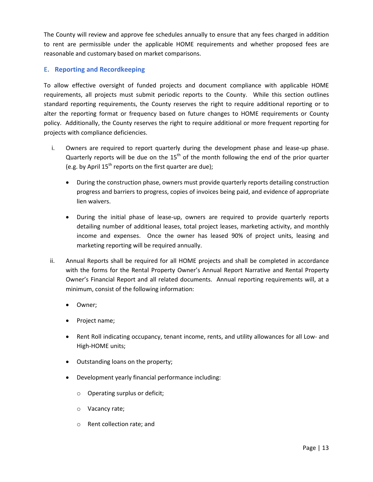The County will review and approve fee schedules annually to ensure that any fees charged in addition to rent are permissible under the applicable HOME requirements and whether proposed fees are reasonable and customary based on market comparisons.

### **E. Reporting and Recordkeeping**

To allow effective oversight of funded projects and document compliance with applicable HOME requirements, all projects must submit periodic reports to the County. While this section outlines standard reporting requirements, the County reserves the right to require additional reporting or to alter the reporting format or frequency based on future changes to HOME requirements or County policy. Additionally, the County reserves the right to require additional or more frequent reporting for projects with compliance deficiencies.

- i. Owners are required to report quarterly during the development phase and lease-up phase. Quarterly reports will be due on the  $15<sup>th</sup>$  of the month following the end of the prior quarter (e.g. by April  $15<sup>th</sup>$  reports on the first quarter are due);
	- During the construction phase, owners must provide quarterly reports detailing construction progress and barriers to progress, copies of invoices being paid, and evidence of appropriate lien waivers.
	- During the initial phase of lease-up, owners are required to provide quarterly reports detailing number of additional leases, total project leases, marketing activity, and monthly income and expenses. Once the owner has leased 90% of project units, leasing and marketing reporting will be required annually.
- ii. Annual Reports shall be required for all HOME projects and shall be completed in accordance with the forms for the Rental Property Owner's Annual Report Narrative and Rental Property Owner's Financial Report and all related documents. Annual reporting requirements will, at a minimum, consist of the following information:
	- Owner;
	- Project name;
	- Rent Roll indicating occupancy, tenant income, rents, and utility allowances for all Low- and High-HOME units;
	- Outstanding loans on the property;
	- Development yearly financial performance including:
		- o Operating surplus or deficit;
		- o Vacancy rate;
		- o Rent collection rate; and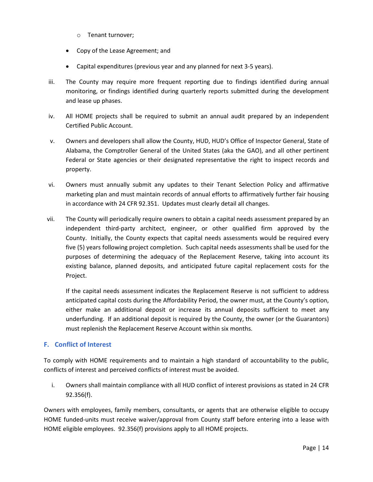- o Tenant turnover;
- Copy of the Lease Agreement; and
- Capital expenditures (previous year and any planned for next 3-5 years).
- iii. The County may require more frequent reporting due to findings identified during annual monitoring, or findings identified during quarterly reports submitted during the development and lease up phases.
- iv. All HOME projects shall be required to submit an annual audit prepared by an independent Certified Public Account.
- v. Owners and developers shall allow the County, HUD, HUD's Office of Inspector General, State of Alabama, the Comptroller General of the United States (aka the GAO), and all other pertinent Federal or State agencies or their designated representative the right to inspect records and property.
- vi. Owners must annually submit any updates to their Tenant Selection Policy and affirmative marketing plan and must maintain records of annual efforts to affirmatively further fair housing in accordance with 24 CFR 92.351. Updates must clearly detail all changes.
- vii. The County will periodically require owners to obtain a capital needs assessment prepared by an independent third-party architect, engineer, or other qualified firm approved by the County. Initially, the County expects that capital needs assessments would be required every five (5) years following project completion. Such capital needs assessments shall be used for the purposes of determining the adequacy of the Replacement Reserve, taking into account its existing balance, planned deposits, and anticipated future capital replacement costs for the Project.

If the capital needs assessment indicates the Replacement Reserve is not sufficient to address anticipated capital costs during the Affordability Period, the owner must, at the County's option, either make an additional deposit or increase its annual deposits sufficient to meet any underfunding. If an additional deposit is required by the County, the owner (or the Guarantors) must replenish the Replacement Reserve Account within six months.

### **F. Conflict of Interest**

To comply with HOME requirements and to maintain a high standard of accountability to the public, conflicts of interest and perceived conflicts of interest must be avoided.

i. Owners shall maintain compliance with all HUD conflict of interest provisions as stated in 24 CFR 92.356(f).

Owners with employees, family members, consultants, or agents that are otherwise eligible to occupy HOME funded-units must receive waiver/approval from County staff before entering into a lease with HOME eligible employees. 92.356(f) provisions apply to all HOME projects.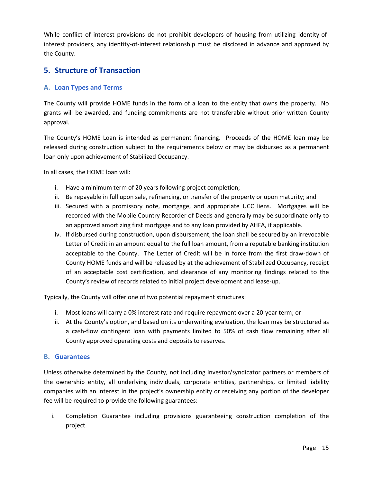While conflict of interest provisions do not prohibit developers of housing from utilizing identity-ofinterest providers, any identity-of-interest relationship must be disclosed in advance and approved by the County.

# **5. Structure of Transaction**

### **A. Loan Types and Terms**

The County will provide HOME funds in the form of a loan to the entity that owns the property. No grants will be awarded, and funding commitments are not transferable without prior written County approval.

The County's HOME Loan is intended as permanent financing. Proceeds of the HOME loan may be released during construction subject to the requirements below or may be disbursed as a permanent loan only upon achievement of Stabilized Occupancy.

In all cases, the HOME loan will:

- i. Have a minimum term of 20 years following project completion;
- ii. Be repayable in full upon sale, refinancing, or transfer of the property or upon maturity; and
- iii. Secured with a promissory note, mortgage, and appropriate UCC liens. Mortgages will be recorded with the Mobile Country Recorder of Deeds and generally may be subordinate only to an approved amortizing first mortgage and to any loan provided by AHFA, if applicable.
- iv. If disbursed during construction, upon disbursement, the loan shall be secured by an irrevocable Letter of Credit in an amount equal to the full loan amount, from a reputable banking institution acceptable to the County. The Letter of Credit will be in force from the first draw-down of County HOME funds and will be released by at the achievement of Stabilized Occupancy, receipt of an acceptable cost certification, and clearance of any monitoring findings related to the County's review of records related to initial project development and lease-up.

Typically, the County will offer one of two potential repayment structures:

- i. Most loans will carry a 0% interest rate and require repayment over a 20-year term; or
- ii. At the County's option, and based on its underwriting evaluation, the loan may be structured as a cash-flow contingent loan with payments limited to 50% of cash flow remaining after all County approved operating costs and deposits to reserves.

### **B. Guarantees**

Unless otherwise determined by the County, not including investor/syndicator partners or members of the ownership entity, all underlying individuals, corporate entities, partnerships, or limited liability companies with an interest in the project's ownership entity or receiving any portion of the developer fee will be required to provide the following guarantees:

i. Completion Guarantee including provisions guaranteeing construction completion of the project.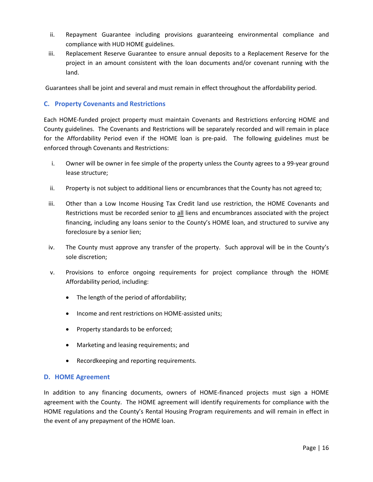- ii. Repayment Guarantee including provisions guaranteeing environmental compliance and compliance with HUD HOME guidelines.
- iii. Replacement Reserve Guarantee to ensure annual deposits to a Replacement Reserve for the project in an amount consistent with the loan documents and/or covenant running with the land.

Guarantees shall be joint and several and must remain in effect throughout the affordability period.

### **C. Property Covenants and Restrictions**

Each HOME-funded project property must maintain Covenants and Restrictions enforcing HOME and County guidelines. The Covenants and Restrictions will be separately recorded and will remain in place for the Affordability Period even if the HOME loan is pre-paid. The following guidelines must be enforced through Covenants and Restrictions:

- i. Owner will be owner in fee simple of the property unless the County agrees to a 99-year ground lease structure;
- ii. Property is not subject to additional liens or encumbrances that the County has not agreed to;
- iii. Other than a Low Income Housing Tax Credit land use restriction, the HOME Covenants and Restrictions must be recorded senior to all liens and encumbrances associated with the project financing, including any loans senior to the County's HOME loan, and structured to survive any foreclosure by a senior lien;
- iv. The County must approve any transfer of the property. Such approval will be in the County's sole discretion;
- v. Provisions to enforce ongoing requirements for project compliance through the HOME Affordability period, including:
	- The length of the period of affordability;
	- Income and rent restrictions on HOME-assisted units;
	- Property standards to be enforced;
	- Marketing and leasing requirements; and
	- Recordkeeping and reporting requirements.

#### **D. HOME Agreement**

In addition to any financing documents, owners of HOME-financed projects must sign a HOME agreement with the County. The HOME agreement will identify requirements for compliance with the HOME regulations and the County's Rental Housing Program requirements and will remain in effect in the event of any prepayment of the HOME loan.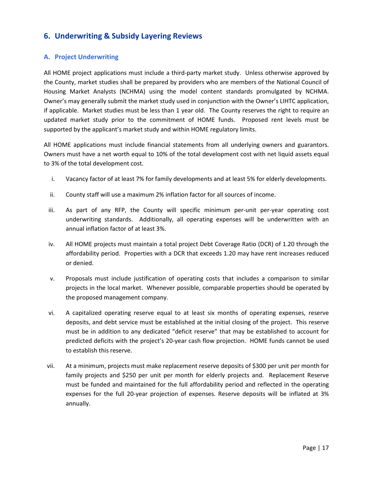# **6. Underwriting & Subsidy Layering Reviews**

### **A. Project Underwriting**

All HOME project applications must include a third-party market study. Unless otherwise approved by the County, market studies shall be prepared by providers who are members of the National Council of Housing Market Analysts (NCHMA) using the model content standards promulgated by NCHMA. Owner's may generally submit the market study used in conjunction with the Owner's LIHTC application, if applicable. Market studies must be less than 1 year old. The County reserves the right to require an updated market study prior to the commitment of HOME funds. Proposed rent levels must be supported by the applicant's market study and within HOME regulatory limits.

All HOME applications must include financial statements from all underlying owners and guarantors. Owners must have a net worth equal to 10% of the total development cost with net liquid assets equal to 3% of the total development cost.

- i. Vacancy factor of at least 7% for family developments and at least 5% for elderly developments.
- ii. County staff will use a maximum 2% inflation factor for all sources of income.
- iii. As part of any RFP, the County will specific minimum per-unit per-year operating cost underwriting standards. Additionally, all operating expenses will be underwritten with an annual inflation factor of at least 3%.
- iv. All HOME projects must maintain a total project Debt Coverage Ratio (DCR) of 1.20 through the affordability period. Properties with a DCR that exceeds 1.20 may have rent increases reduced or denied.
- v. Proposals must include justification of operating costs that includes a comparison to similar projects in the local market. Whenever possible, comparable properties should be operated by the proposed management company.
- vi. A capitalized operating reserve equal to at least six months of operating expenses, reserve deposits, and debt service must be established at the initial closing of the project. This reserve must be in addition to any dedicated "deficit reserve" that may be established to account for predicted deficits with the project's 20-year cash flow projection. HOME funds cannot be used to establish this reserve.
- vii. At a minimum, projects must make replacement reserve deposits of \$300 per unit per month for family projects and \$250 per unit per month for elderly projects and. Replacement Reserve must be funded and maintained for the full affordability period and reflected in the operating expenses for the full 20-year projection of expenses. Reserve deposits will be inflated at 3% annually.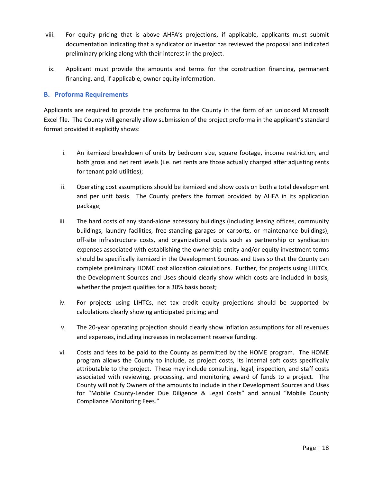- viii. For equity pricing that is above AHFA's projections, if applicable, applicants must submit documentation indicating that a syndicator or investor has reviewed the proposal and indicated preliminary pricing along with their interest in the project.
- ix. Applicant must provide the amounts and terms for the construction financing, permanent financing, and, if applicable, owner equity information.

### **B. Proforma Requirements**

Applicants are required to provide the proforma to the County in the form of an unlocked Microsoft Excel file. The County will generally allow submission of the project proforma in the applicant's standard format provided it explicitly shows:

- i. An itemized breakdown of units by bedroom size, square footage, income restriction, and both gross and net rent levels (i.e. net rents are those actually charged after adjusting rents for tenant paid utilities);
- ii. Operating cost assumptions should be itemized and show costs on both a total development and per unit basis. The County prefers the format provided by AHFA in its application package;
- iii. The hard costs of any stand-alone accessory buildings (including leasing offices, community buildings, laundry facilities, free-standing garages or carports, or maintenance buildings), off-site infrastructure costs, and organizational costs such as partnership or syndication expenses associated with establishing the ownership entity and/or equity investment terms should be specifically itemized in the Development Sources and Uses so that the County can complete preliminary HOME cost allocation calculations. Further, for projects using LIHTCs, the Development Sources and Uses should clearly show which costs are included in basis, whether the project qualifies for a 30% basis boost;
- iv. For projects using LIHTCs, net tax credit equity projections should be supported by calculations clearly showing anticipated pricing; and
- v. The 20-year operating projection should clearly show inflation assumptions for all revenues and expenses, including increases in replacement reserve funding.
- vi. Costs and fees to be paid to the County as permitted by the HOME program. The HOME program allows the County to include, as project costs, its internal soft costs specifically attributable to the project. These may include consulting, legal, inspection, and staff costs associated with reviewing, processing, and monitoring award of funds to a project. The County will notify Owners of the amounts to include in their Development Sources and Uses for "Mobile County-Lender Due Diligence & Legal Costs" and annual "Mobile County Compliance Monitoring Fees."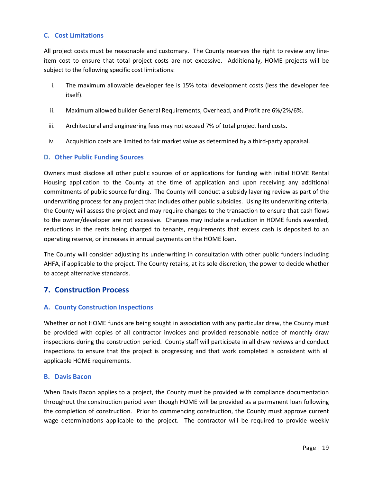### **C. Cost Limitations**

All project costs must be reasonable and customary. The County reserves the right to review any lineitem cost to ensure that total project costs are not excessive. Additionally, HOME projects will be subject to the following specific cost limitations:

- i. The maximum allowable developer fee is 15% total development costs (less the developer fee itself).
- ii. Maximum allowed builder General Requirements, Overhead, and Profit are 6%/2%/6%.
- iii. Architectural and engineering fees may not exceed 7% of total project hard costs.
- iv. Acquisition costs are limited to fair market value as determined by a third-party appraisal.

### **D. Other Public Funding Sources**

Owners must disclose all other public sources of or applications for funding with initial HOME Rental Housing application to the County at the time of application and upon receiving any additional commitments of public source funding. The County will conduct a subsidy layering review as part of the underwriting process for any project that includes other public subsidies. Using its underwriting criteria, the County will assess the project and may require changes to the transaction to ensure that cash flows to the owner/developer are not excessive. Changes may include a reduction in HOME funds awarded, reductions in the rents being charged to tenants, requirements that excess cash is deposited to an operating reserve, or increases in annual payments on the HOME loan.

The County will consider adjusting its underwriting in consultation with other public funders including AHFA, if applicable to the project. The County retains, at its sole discretion, the power to decide whether to accept alternative standards.

### **7. Construction Process**

### **A. County Construction Inspections**

Whether or not HOME funds are being sought in association with any particular draw, the County must be provided with copies of all contractor invoices and provided reasonable notice of monthly draw inspections during the construction period. County staff will participate in all draw reviews and conduct inspections to ensure that the project is progressing and that work completed is consistent with all applicable HOME requirements.

#### **B. Davis Bacon**

When Davis Bacon applies to a project, the County must be provided with compliance documentation throughout the construction period even though HOME will be provided as a permanent loan following the completion of construction. Prior to commencing construction, the County must approve current wage determinations applicable to the project. The contractor will be required to provide weekly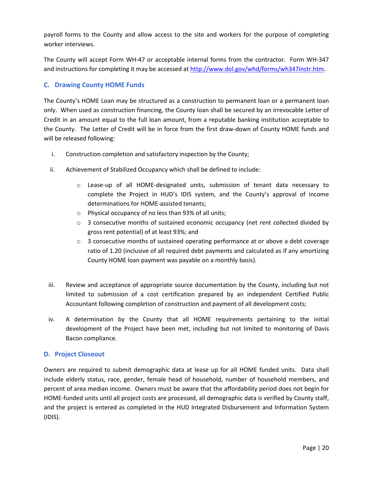payroll forms to the County and allow access to the site and workers for the purpose of completing worker interviews.

The County will accept Form WH-47 or acceptable internal forms from the contractor. Form WH-347 and instructions for completing it may be accessed at http://www.dol.gov/whd/forms/wh347instr.htm.

### **C. Drawing County HOME Funds**

The County's HOME Loan may be structured as a construction to permanent loan or a permanent loan only. When used as construction financing, the County loan shall be secured by an irrevocable Letter of Credit in an amount equal to the full loan amount, from a reputable banking institution acceptable to the County. The Letter of Credit will be in force from the first draw-down of County HOME funds and will be released following:

- i. Construction completion and satisfactory inspection by the County;
- ii. Achievement of Stabilized Occupancy which shall be defined to include:
	- o Lease-up of all HOME-designated units, submission of tenant data necessary to complete the Project in HUD's IDIS system, and the County's approval of income determinations for HOME-assisted tenants;
	- o Physical occupancy of no less than 93% of all units;
	- $\circ$  3 consecutive months of sustained economic occupancy (net rent collected divided by gross rent potential) of at least 93%; and
	- $\circ$  3 consecutive months of sustained operating performance at or above a debt coverage ratio of 1.20 (inclusive of all required debt payments and calculated as if any amortizing County HOME loan payment was payable on a monthly basis).
- iii. Review and acceptance of appropriate source documentation by the County, including but not limited to submission of a cost certification prepared by an independent Certified Public Accountant following completion of construction and payment of all development costs;
- iv. A determination by the County that all HOME requirements pertaining to the initial development of the Project have been met, including but not limited to monitoring of Davis Bacon compliance.

#### **D. Project Closeout**

Owners are required to submit demographic data at lease up for all HOME funded units. Data shall include elderly status, race, gender, female head of household, number of household members, and percent of area median income. Owners must be aware that the affordability period does not begin for HOME-funded units until all project costs are processed, all demographic data is verified by County staff, and the project is entered as completed in the HUD Integrated Disbursement and Information System (IDIS).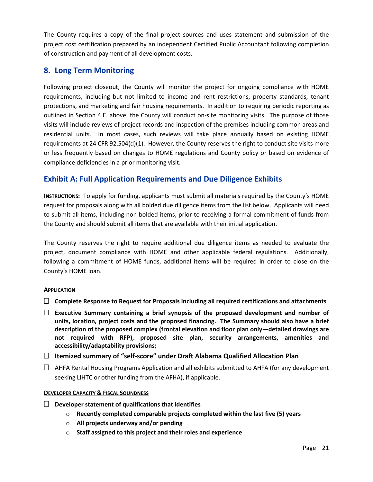The County requires a copy of the final project sources and uses statement and submission of the project cost certification prepared by an independent Certified Public Accountant following completion of construction and payment of all development costs.

# **8. Long Term Monitoring**

Following project closeout, the County will monitor the project for ongoing compliance with HOME requirements, including but not limited to income and rent restrictions, property standards, tenant protections, and marketing and fair housing requirements. In addition to requiring periodic reporting as outlined in Section 4.E. above, the County will conduct on-site monitoring visits. The purpose of those visits will include reviews of project records and inspection of the premises including common areas and residential units. In most cases, such reviews will take place annually based on existing HOME requirements at 24 CFR 92.504(d)(1). However, the County reserves the right to conduct site visits more or less frequently based on changes to HOME regulations and County policy or based on evidence of compliance deficiencies in a prior monitoring visit.

# **Exhibit A: Full Application Requirements and Due Diligence Exhibits**

**INSTRUCTIONS:** To apply for funding, applicants must submit all materials required by the County's HOME request for proposals along with all bolded due diligence items from the list below. Applicants will need to submit all items, including non-bolded items, prior to receiving a formal commitment of funds from the County and should submit all items that are available with their initial application.

The County reserves the right to require additional due diligence items as needed to evaluate the project, document compliance with HOME and other applicable federal regulations. Additionally, following a commitment of HOME funds, additional items will be required in order to close on the County's HOME loan.

### **APPLICATION**

- **Complete Response to Request for Proposals including all required certifications and attachments**
- **Executive Summary containing a brief synopsis of the proposed development and number of units, location, project costs and the proposed financing. The Summary should also have a brief description of the proposed complex (frontal elevation and floor plan only—detailed drawings are not required with RFP), proposed site plan, security arrangements, amenities and accessibility/adaptability provisions;**
- **Itemized summary of "self-score" under Draft Alabama Qualified Allocation Plan**
- $\Box$  AHFA Rental Housing Programs Application and all exhibits submitted to AHFA (for any development seeking LIHTC or other funding from the AFHA), if applicable.

#### **DEVELOPER CAPACITY & FISCAL SOUNDNESS**

- **Developer statement of qualifications that identifies**
	- o **Recently completed comparable projects completed within the last five (5) years**
	- o **All projects underway and/or pending**
	- o **Staff assigned to this project and their roles and experience**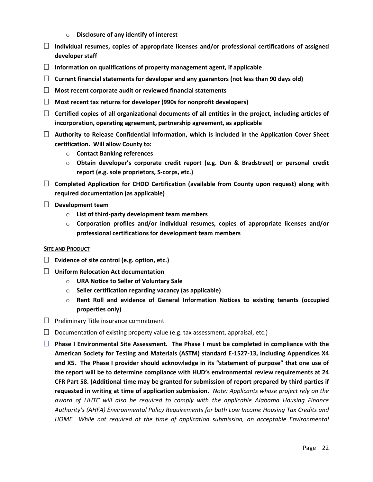- o **Disclosure of any identify of interest**
- **Individual resumes, copies of appropriate licenses and/or professional certifications of assigned developer staff**
- **Information on qualifications of property management agent, if applicable**
- **Current financial statements for developer and any guarantors (not less than 90 days old)**
- **Most recent corporate audit or reviewed financial statements**
- **Most recent tax returns for developer (990s for nonprofit developers)**
- **Certified copies of all organizational documents of all entities in the project, including articles of incorporation, operating agreement, partnership agreement, as applicable**
- **Authority to Release Confidential Information, which is included in the Application Cover Sheet certification. Will allow County to:**
	- o **Contact Banking references**
	- o **Obtain developer's corporate credit report (e.g. Dun & Bradstreet) or personal credit report (e.g. sole proprietors, S-corps, etc.)**
- **Completed Application for CHDO Certification (available from County upon request) along with required documentation (as applicable)**
- **Development team**
	- o **List of third-party development team members**
	- o **Corporation profiles and/or individual resumes, copies of appropriate licenses and/or professional certifications for development team members**

#### **SITE AND PRODUCT**

- **Evidence of site control (e.g. option, etc.)**
- **Uniform Relocation Act documentation**
	- o **URA Notice to Seller of Voluntary Sale**
	- o **Seller certification regarding vacancy (as applicable)**
	- o **Rent Roll and evidence of General Information Notices to existing tenants (occupied properties only)**
- $\Box$  Preliminary Title insurance commitment
- $\Box$  Documentation of existing property value (e.g. tax assessment, appraisal, etc.)
- **Phase I Environmental Site Assessment. The Phase I must be completed in compliance with the American Society for Testing and Materials (ASTM) standard E-1527-13, including Appendices X4 and X5. The Phase I provider should acknowledge in its "statement of purpose" that one use of the report will be to determine compliance with HUD's environmental review requirements at 24 CFR Part 58. (Additional time may be granted for submission of report prepared by third parties if requested in writing at time of application submission.** *Note: Applicants whose project rely on the award of LIHTC will also be required to comply with the applicable Alabama Housing Finance Authority's (AHFA) Environmental Policy Requirements for both Low Income Housing Tax Credits and HOME. While not required at the time of application submission, an acceptable Environmental*